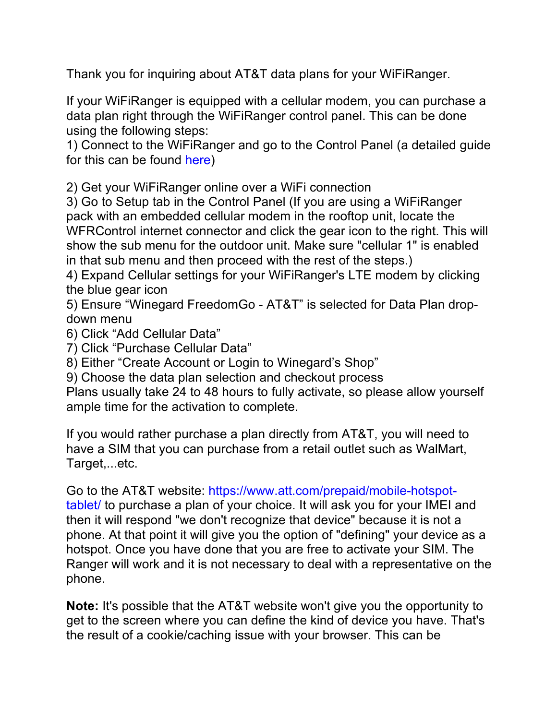Thank you for inquiring about AT&T data plans for your WiFiRanger.

If your WiFiRanger is equipped with a cellular modem, you can purchase a data plan right through the WiFiRanger control panel. This can be done using the following steps:

1) Connect to the WiFiRanger and go to the Control Panel (a detailed guide for this can be found here)

2) Get your WiFiRanger online over a WiFi connection

3) Go to Setup tab in the Control Panel (If you are using a WiFiRanger pack with an embedded cellular modem in the rooftop unit, locate the WFRControl internet connector and click the gear icon to the right. This will show the sub menu for the outdoor unit. Make sure "cellular 1" is enabled in that sub menu and then proceed with the rest of the steps.)

4) Expand Cellular settings for your WiFiRanger's LTE modem by clicking the blue gear icon

5) Ensure "Winegard FreedomGo - AT&T" is selected for Data Plan dropdown menu

6) Click "Add Cellular Data"

7) Click "Purchase Cellular Data"

8) Either "Create Account or Login to Winegard's Shop"

9) Choose the data plan selection and checkout process

Plans usually take 24 to 48 hours to fully activate, so please allow yourself ample time for the activation to complete.

If you would rather purchase a plan directly from AT&T, you will need to have a SIM that you can purchase from a retail outlet such as WalMart, Target,...etc.

Go to the AT&T website: https://www.att.com/prepaid/mobile-hotspottablet/ to purchase a plan of your choice. It will ask you for your IMEI and then it will respond "we don't recognize that device" because it is not a phone. At that point it will give you the option of "defining" your device as a hotspot. Once you have done that you are free to activate your SIM. The Ranger will work and it is not necessary to deal with a representative on the phone.

**Note:** It's possible that the AT&T website won't give you the opportunity to get to the screen where you can define the kind of device you have. That's the result of a cookie/caching issue with your browser. This can be